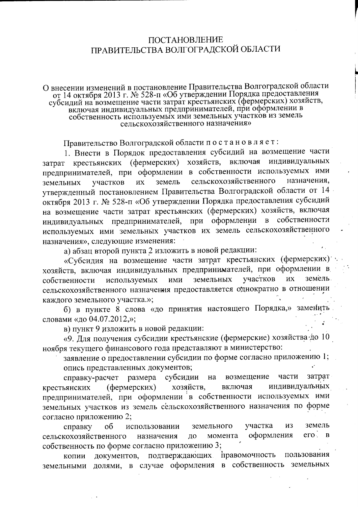## ПОСТАНОВЛЕНИЕ ПРАВИТЕЛЬСТВА ВОЛГОГРАДСКОЙ ОБЛАСТИ

## О внесении изменений в постановление Правительства Волгоградской области от 14 октября 2013 г. № 528-п «Об утверждении Порядка предоставления субсидий на возмещение части затрат крестьянских (фермерских) хозяйств, включа сельскохозяйственного назначения»

Правительство Волгоградской области постановляет:

1. Внести в Порядок предоставления субсидий на возмещение части затрат крестьянских (фермерских) хозяйств, включая индивидуальных предпринимателей, при оформлении в собственности используемых ими сельскохозяйственного назначения, земель участков ИX земельных утвержденный постановлением Правительства Волгоградской области от 14 октября 2013 г. № 528-п «Об утверждении Порядка предоставления субсидий на возмещение части затрат крестьянских (фермерских) хозяйств, включая индивидуальных предпринимателей, при оформлении в собственности используемых ими земельных участков их земель сельскохозяйственного назначения», следующие изменения:

а) абзац второй пункта 2 изложить в новой редакции:

«Субсидия на возмещение части затрат крестьянских (фермерских) хозяйств, включая индивидуальных предпринимателей, при оформлении в участков земель ИX используемых земельных собственности ИМИ сельскохозяйственного назначения предоставляется однократно в отношении каждого земельного участка.»;

б) в пункте 8 слова «до принятия настоящего Порядка,» заменить словами «до 04.07.2012,»;

в) пункт 9 изложить в новой редакции:

«9. Для получения субсидии крестьянские (фермерские) хозяйства до 10 ноября текущего финансового года представляют в министерство:

заявление о предоставлении субсидии по форме согласно приложению 1; опись представленных документов;

части затрат справку-расчет размера субсидии на возмещение (фермерских) хозяйств, включая индивидуальных крестьянских предпринимателей, при оформлении в собственности используемых ими земельных участков из земель сельскохозяйственного назначения по форме согласно приложению 2;

И3 земель участка справку  $\sigma$ использовании земельного оформления  $e_{\Gamma}$  $\bf{B}$ сельскохозяйственного назначения ДО момента собственность по форме согласно приложению 3;

подтверждающих правомочность пользования документов, копии земельными долями, в случае оформления в собственность земельных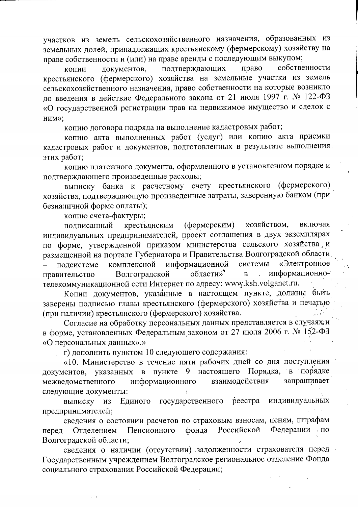участков из земель сельскохозяйственного назначения, образованных из земельных долей, принадлежащих крестьянскому (фермерскому) хозяйству на праве собственности и (или) на праве аренды с последующим выкупом;

собственности подтверждающих право документов, копии крестьянского (фермерского) хозяйства на земельные участки из земель сельскохозяйственного назначения, право собственности на которые возникло до введения в действие Федерального закона от 21 июля 1997 г. № 122-ФЗ «О государственной регистрации прав на недвижимое имущество и сделок с ним»:

копию договора подряда на выполнение кадастровых работ;

копию акта выполненных работ (услуг) или копию акта приемки кадастровых работ и документов, подготовленных в результате выполнения этих работ;

копию платежного документа, оформленного в установленном порядке и подтверждающего произведенные расходы;

выписку банка к расчетному счету крестьянского (фермерского) хозяйства, подтверждающую произведенные затраты, заверенную банком (при безналичной форме оплаты);

копию счета-фактуры;

(фермерским) хозяйством, включая крестьянским подписанный индивидуальных предпринимателей, проект соглашения в двух экземплярах по форме, утвержденной приказом министерства сельского хозяйства и размещенной на портале Губернатора и Правительства Волгоградской области информационной «Электронное системы подсистеме комплексной области» информационно-Волгоградской  $\overline{B}$ правительство телекоммуникационной сети Интернет по адресу: www.ksh.volganet.ru.

Копии документов, указанные в настоящем пункте, должны быть заверены подписью главы крестьянского (фермерского) хозяйства и печатью (при наличии) крестьянского (фермерского) хозяйства.

Согласие на обработку персональных данных представляется в случаях и в форме, установленных Федеральным законом от 27 июля 2006 г. № 152-ФЗ «О персональных данных».»

г) дополнить пунктом 10 следующего содержания:

«10. Министерство в течение пяти рабочих дней со дня поступления в пункте 9 настоящего Порядка, в порядке документов, указанных запрашивает информационного взаимодействия межведомственного следующие документы:

Единого государственного реестра индивидуальных выписку **ИЗ** предпринимателей;

сведения о состоянии расчетов по страховым взносам, пеням, штрафам Пенсионного фонда Российской Федерации по Отделением перед Волгоградской области;

сведения о наличии (отсутствии) задолженности страхователя перед Государственным учреждением Волгоградское региональное отделение Фонда социального страхования Российской Федерации;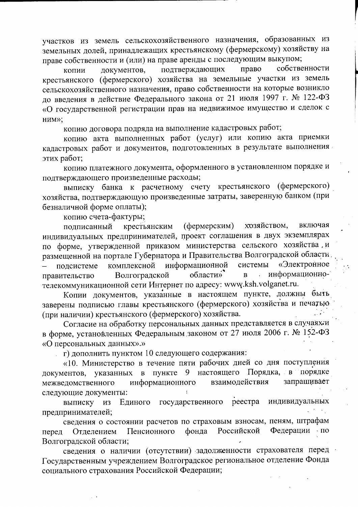участков из земель сельскохозяйственного назначения, образованных из земельных долей, принадлежащих крестьянскому (фермерскому) хозяйству на праве собственности и (или) на праве аренды с последующим выкупом;

подтверждающих собственности право документов, копии крестьянского (фермерского) хозяйства на земельные участки из земель сельскохозяйственного назначения, право собственности на которые возникло до введения в действие Федерального закона от 21 июля 1997 г. № 122-ФЗ «О государственной регистрации прав на недвижимое имущество и сделок с ним»:

копию договора подряда на выполнение кадастровых работ;

копию акта выполненных работ (услуг) или копию акта приемки кадастровых работ и документов, подготовленных в результате выполнения этих работ;

копию платежного документа, оформленного в установленном порядке и подтверждающего произведенные расходы;

выписку банка к расчетному счету крестьянского (фермерского) хозяйства, подтверждающую произведенные затраты, заверенную банком (при безналичной форме оплаты);

копию счета-фактуры;

хозяйством, включая крестьянским (фермерским) подписанный индивидуальных предпринимателей, проект соглашения в двух экземплярах по форме, утвержденной приказом министерства сельского хозяйства, и размещенной на портале Губернатора и Правительства Волгоградской области системы «Электронное информационной комплексной подсистеме области» информационно- $\overline{B}$ Волгоградской правительство телекоммуникационной сети Интернет по адресу: www.ksh.volganet.ru.

Копии документов, указанные в настоящем пункте, должны быть заверены подписью главы крестьянского (фермерского) хозяйства и печатью (при наличии) крестьянского (фермерского) хозяйства.

Согласие на обработку персональных данных представляется в случаях и в форме, установленных Федеральным законом от 27 июля 2006 г. № 152-ФЗ «О персональных данных».»

г) дополнить пунктом 10 следующего содержания:

«10. Министерство в течение пяти рабочих дней со дня поступления документов, указанных в пункте 9 настоящего Порядка, в порядке взаимодействия запрашивает информационного межведомственного следующие документы:

Единого государственного реестра индивидуальных выписку **ИЗ** предпринимателей;

сведения о состоянии расчетов по страховым взносам, пеням, штрафам Федерации по Российской Отделением Пенсионного фонда перед Волгоградской области;

сведения о наличии (отсутствии) задолженности страхователя перед Государственным учреждением Волгоградское региональное отделение Фонда социального страхования Российской Федерации;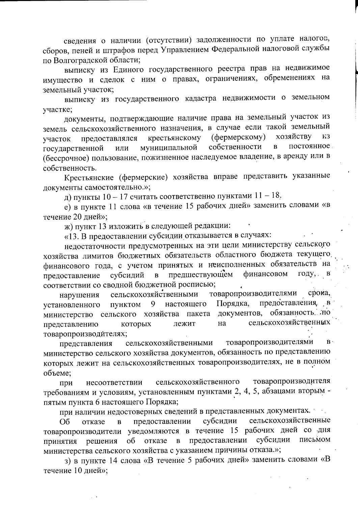сведения о наличии (отсутствии) задолженности по уплате налогов, сборов, пеней и штрафов перед Управлением Федеральной налоговой службы по Волгоградской области;

выписку из Единого государственного реестра прав на недвижимое имущество и сделок с ним о правах, ограничениях, обременениях на земельный участок;

выписку из государственного кадастра недвижимости о земельном участке;

документы, подтверждающие наличие права на земельный участок из земель сельскохозяйственного назначения, в случае если такой земельный хозяйству (фермерскому) **K3** крестьянскому предоставлялся участок собственности постоянное муниципальной  $\overline{B}$ государственной или (бессрочное) пользование, пожизненное наследуемое владение, в аренду или в собственность.

Крестьянские (фермерские) хозяйства вправе представить указанные документы самостоятельно.»;

д) пункты  $10 - 17$  считать соответственно пунктами  $11 - 18$ ,

е) в пункте 11 слова «в течение 15 рабочих дней» заменить словами «в течение 20 дней»;

ж) пункт 13 изложить в следующей редакции:

«13. В предоставлении субсидии отказывается в случаях:

недостаточности предусмотренных на эти цели министерству сельского хозяйства лимитов бюджетных обязательств областного бюджета текущего финансового года, с учетом принятых и неисполненных обязательств на предшествующем финансовом году, в субсидий  $\mathbf{B}$ предоставление соответствии со сводной бюджетной росписью;

товаропроизводителями срока, сельскохозяйственными нарушения предоставления, в Порядка, настоящего установленного ПУНКТОМ 9 министерство сельского хозяйства пакета документов, обязанность ло сельскохозяйственных на представлению которых лежит товаропроизводителях;

товаропроизводителями  $B$ . сельскохозяйственными представления министерство сельского хозяйства документов, обязанность по представлению которых лежит на сельскохозяйственных товаропроизводителях, не в полном объеме:

товаропроизводителя сельскохозяйственного несоответствии при требованиям и условиям, установленным пунктами 2, 4, 5, абзацами вторым пятым пункта 6 настоящего Порядка;

при наличии недостоверных сведений в представленных документах.

сельскохозяйственные субсидии предоставлении O<sub>6</sub> отказе  $\bf{B}$ товаропроизводители уведомляются в течение 15 рабочих дней со дня предоставлении субсидии письмом решения об отказе  $\mathbf{B}$ Принятия министерства сельского хозяйства с указанием причины отказа.»;

з) в пункте 14 слова «В течение 5 рабочих дней» заменить словами «В течение 10 дней»;